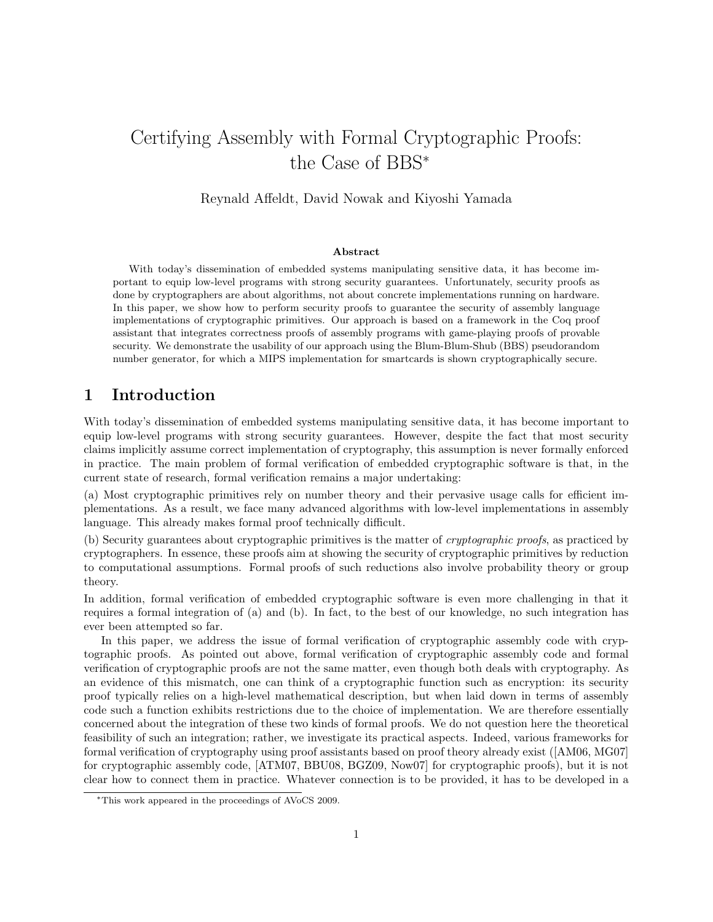# Certifying Assembly with Formal Cryptographic Proofs: the Case of BBS<sup>∗</sup>

Reynald Affeldt, David Nowak and Kiyoshi Yamada

#### Abstract

With today's dissemination of embedded systems manipulating sensitive data, it has become important to equip low-level programs with strong security guarantees. Unfortunately, security proofs as done by cryptographers are about algorithms, not about concrete implementations running on hardware. In this paper, we show how to perform security proofs to guarantee the security of assembly language implementations of cryptographic primitives. Our approach is based on a framework in the Coq proof assistant that integrates correctness proofs of assembly programs with game-playing proofs of provable security. We demonstrate the usability of our approach using the Blum-Blum-Shub (BBS) pseudorandom number generator, for which a MIPS implementation for smartcards is shown cryptographically secure.

### 1 Introduction

With today's dissemination of embedded systems manipulating sensitive data, it has become important to equip low-level programs with strong security guarantees. However, despite the fact that most security claims implicitly assume correct implementation of cryptography, this assumption is never formally enforced in practice. The main problem of formal verification of embedded cryptographic software is that, in the current state of research, formal verification remains a major undertaking:

(a) Most cryptographic primitives rely on number theory and their pervasive usage calls for efficient implementations. As a result, we face many advanced algorithms with low-level implementations in assembly language. This already makes formal proof technically difficult.

(b) Security guarantees about cryptographic primitives is the matter of cryptographic proofs, as practiced by cryptographers. In essence, these proofs aim at showing the security of cryptographic primitives by reduction to computational assumptions. Formal proofs of such reductions also involve probability theory or group theory.

In addition, formal verification of embedded cryptographic software is even more challenging in that it requires a formal integration of (a) and (b). In fact, to the best of our knowledge, no such integration has ever been attempted so far.

In this paper, we address the issue of formal verification of cryptographic assembly code with cryptographic proofs. As pointed out above, formal verification of cryptographic assembly code and formal verification of cryptographic proofs are not the same matter, even though both deals with cryptography. As an evidence of this mismatch, one can think of a cryptographic function such as encryption: its security proof typically relies on a high-level mathematical description, but when laid down in terms of assembly code such a function exhibits restrictions due to the choice of implementation. We are therefore essentially concerned about the integration of these two kinds of formal proofs. We do not question here the theoretical feasibility of such an integration; rather, we investigate its practical aspects. Indeed, various frameworks for formal verification of cryptography using proof assistants based on proof theory already exist ([AM06, MG07] for cryptographic assembly code, [ATM07, BBU08, BGZ09, Now07] for cryptographic proofs), but it is not clear how to connect them in practice. Whatever connection is to be provided, it has to be developed in a

<sup>∗</sup>This work appeared in the proceedings of AVoCS 2009.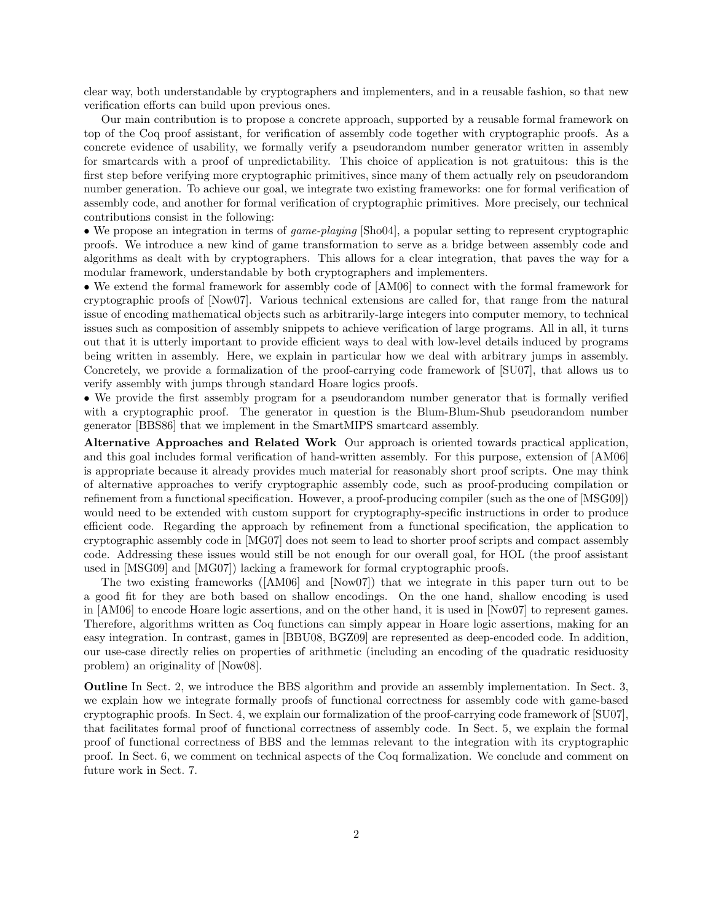clear way, both understandable by cryptographers and implementers, and in a reusable fashion, so that new verification efforts can build upon previous ones.

Our main contribution is to propose a concrete approach, supported by a reusable formal framework on top of the Coq proof assistant, for verification of assembly code together with cryptographic proofs. As a concrete evidence of usability, we formally verify a pseudorandom number generator written in assembly for smartcards with a proof of unpredictability. This choice of application is not gratuitous: this is the first step before verifying more cryptographic primitives, since many of them actually rely on pseudorandom number generation. To achieve our goal, we integrate two existing frameworks: one for formal verification of assembly code, and another for formal verification of cryptographic primitives. More precisely, our technical contributions consist in the following:

• We propose an integration in terms of game-playing [Sho04], a popular setting to represent cryptographic proofs. We introduce a new kind of game transformation to serve as a bridge between assembly code and algorithms as dealt with by cryptographers. This allows for a clear integration, that paves the way for a modular framework, understandable by both cryptographers and implementers.

• We extend the formal framework for assembly code of [AM06] to connect with the formal framework for cryptographic proofs of [Now07]. Various technical extensions are called for, that range from the natural issue of encoding mathematical objects such as arbitrarily-large integers into computer memory, to technical issues such as composition of assembly snippets to achieve verification of large programs. All in all, it turns out that it is utterly important to provide efficient ways to deal with low-level details induced by programs being written in assembly. Here, we explain in particular how we deal with arbitrary jumps in assembly. Concretely, we provide a formalization of the proof-carrying code framework of [SU07], that allows us to verify assembly with jumps through standard Hoare logics proofs.

• We provide the first assembly program for a pseudorandom number generator that is formally verified with a cryptographic proof. The generator in question is the Blum-Blum-Shub pseudorandom number generator [BBS86] that we implement in the SmartMIPS smartcard assembly.

Alternative Approaches and Related Work Our approach is oriented towards practical application, and this goal includes formal verification of hand-written assembly. For this purpose, extension of [AM06] is appropriate because it already provides much material for reasonably short proof scripts. One may think of alternative approaches to verify cryptographic assembly code, such as proof-producing compilation or refinement from a functional specification. However, a proof-producing compiler (such as the one of [MSG09]) would need to be extended with custom support for cryptography-specific instructions in order to produce efficient code. Regarding the approach by refinement from a functional specification, the application to cryptographic assembly code in [MG07] does not seem to lead to shorter proof scripts and compact assembly code. Addressing these issues would still be not enough for our overall goal, for HOL (the proof assistant used in [MSG09] and [MG07]) lacking a framework for formal cryptographic proofs.

The two existing frameworks ([AM06] and [Now07]) that we integrate in this paper turn out to be a good fit for they are both based on shallow encodings. On the one hand, shallow encoding is used in [AM06] to encode Hoare logic assertions, and on the other hand, it is used in [Now07] to represent games. Therefore, algorithms written as Coq functions can simply appear in Hoare logic assertions, making for an easy integration. In contrast, games in [BBU08, BGZ09] are represented as deep-encoded code. In addition, our use-case directly relies on properties of arithmetic (including an encoding of the quadratic residuosity problem) an originality of [Now08].

Outline In Sect. 2, we introduce the BBS algorithm and provide an assembly implementation. In Sect. 3, we explain how we integrate formally proofs of functional correctness for assembly code with game-based cryptographic proofs. In Sect. 4, we explain our formalization of the proof-carrying code framework of [SU07], that facilitates formal proof of functional correctness of assembly code. In Sect. 5, we explain the formal proof of functional correctness of BBS and the lemmas relevant to the integration with its cryptographic proof. In Sect. 6, we comment on technical aspects of the Coq formalization. We conclude and comment on future work in Sect. 7.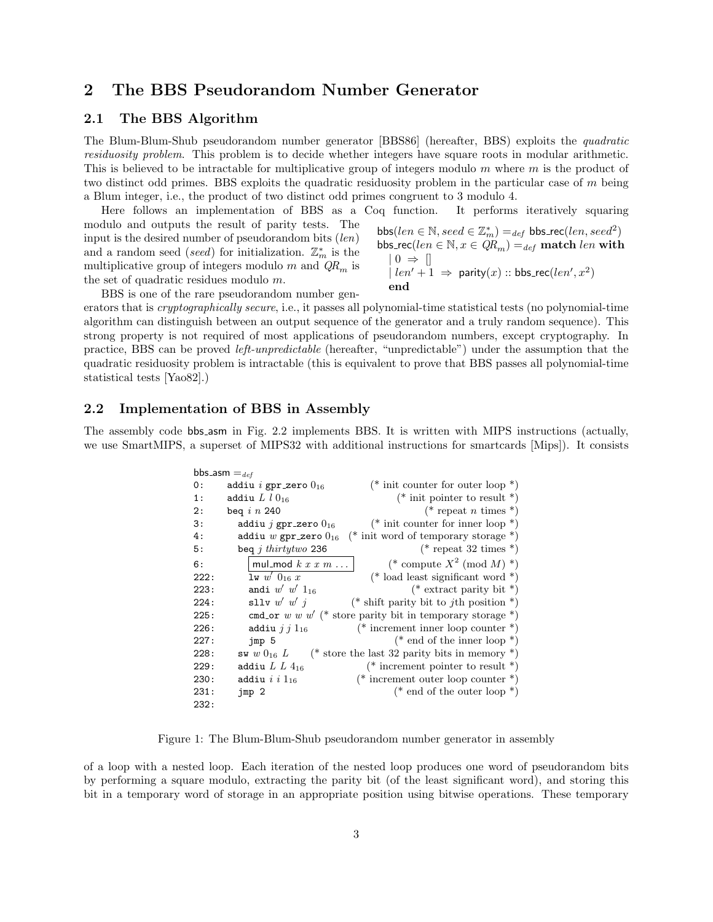## 2 The BBS Pseudorandom Number Generator

#### 2.1 The BBS Algorithm

The Blum-Blum-Shub pseudorandom number generator [BBS86] (hereafter, BBS) exploits the quadratic residuosity problem. This problem is to decide whether integers have square roots in modular arithmetic. This is believed to be intractable for multiplicative group of integers modulo m where m is the product of two distinct odd primes. BBS exploits the quadratic residuosity problem in the particular case of m being a Blum integer, i.e., the product of two distinct odd primes congruent to 3 modulo 4.

Here follows an implementation of BBS as a Coq function. It performs iteratively squaring modulo and outputs the result of parity tests. The

input is the desired number of pseudorandom bits  $(len)$ and a random seed (seed) for initialization.  $\mathbb{Z}_m^*$  is the multiplicative group of integers modulo m and  $QR_m$  is the set of quadratic residues modulo m.

$$
\begin{array}{l} \mathsf{bbs}(\mathit{len} \in \mathbb{N}, \mathit{seed} \in \mathbb{Z}_m^*) =_{def} \mathsf{bbs\_rec}(\mathit{len}, \mathit{seed}^2) \\ \mathsf{bbs\_rec}(\mathit{len} \in \mathbb{N}, x \in QR_m) =_{def} \mathsf{match} \mathit{len} \textsf{ with} \\ |\ 0 \Rightarrow [] \\ |\mathit{len'} + 1 \Rightarrow \mathsf{parity}(x) :: \mathsf{bbs\_rec}(\mathit{len'}, x^2) \\ \mathsf{end} \end{array}
$$

BBS is one of the rare pseudorandom number gen-

erators that is cryptographically secure, i.e., it passes all polynomial-time statistical tests (no polynomial-time algorithm can distinguish between an output sequence of the generator and a truly random sequence). This strong property is not required of most applications of pseudorandom numbers, except cryptography. In practice, BBS can be proved left-unpredictable (hereafter, "unpredictable") under the assumption that the quadratic residuosity problem is intractable (this is equivalent to prove that BBS passes all polynomial-time statistical tests [Yao82].)

#### 2.2 Implementation of BBS in Assembly

The assembly code bbs asm in Fig. 2.2 implements BBS. It is written with MIPS instructions (actually, we use SmartMIPS, a superset of MIPS32 with additional instructions for smartcards [Mips]). It consists

| bbs_asm $=_{def}$ |                                  |                                                             |  |  |  |  |  |
|-------------------|----------------------------------|-------------------------------------------------------------|--|--|--|--|--|
| 0:                | addiu <i>i</i> gpr_zero $0_{16}$ | (* init counter for outer loop *)                           |  |  |  |  |  |
| 1:                | addiu $L l 0_{16}$               | (* init pointer to result *)                                |  |  |  |  |  |
| 2:                | beg $i$ n 240                    | (* repeat <i>n</i> times *)                                 |  |  |  |  |  |
| 3:                | addiu j gpr_zero $0_{16}$        | (* init counter for inner loop *)                           |  |  |  |  |  |
| 4:                | addiu w gpr_zero $0_{16}$        | (* init word of temporary storage *)                        |  |  |  |  |  |
| 5:                | beg j thirtytwo 236              | (* repeat 32 times *)                                       |  |  |  |  |  |
| 6:                | mul_mod $k x x m \ldots$         | (* compute $X^2 \pmod{M}$ *)                                |  |  |  |  |  |
| 222:              | $1w \, w' \, 0_{16} \, x$        | (* load least significant word *)                           |  |  |  |  |  |
| 223:              | andi $w'$ $w'$ $1_{16}$          | (* extract parity bit *)                                    |  |  |  |  |  |
| 224:              | sllv $w'$ $w'$ $i$               | (* shift parity bit to jth position *)                      |  |  |  |  |  |
| 225:              |                                  | cmd_or w w $w'$ (* store parity bit in temporary storage *) |  |  |  |  |  |
| 226:              | addiu $j$ $j$ $1_{16}$           | (* increment inner loop counter *)                          |  |  |  |  |  |
| 227:              | jmp5                             | (* end of the inner loop *)                                 |  |  |  |  |  |
| 228:              | sw $w$ $0_{16}$ $L$              | (* store the last 32 parity bits in memory *)               |  |  |  |  |  |
| 229:              | addiu $L L 4_{16}$               | (* increment pointer to result *)                           |  |  |  |  |  |
| 230:              | addiu $i$ i $1_{16}$             | (* increment outer loop counter *)                          |  |  |  |  |  |
| 231:              | jmp 2                            | (* end of the outer loop *)                                 |  |  |  |  |  |
| 232:              |                                  |                                                             |  |  |  |  |  |

Figure 1: The Blum-Blum-Shub pseudorandom number generator in assembly

of a loop with a nested loop. Each iteration of the nested loop produces one word of pseudorandom bits by performing a square modulo, extracting the parity bit (of the least significant word), and storing this bit in a temporary word of storage in an appropriate position using bitwise operations. These temporary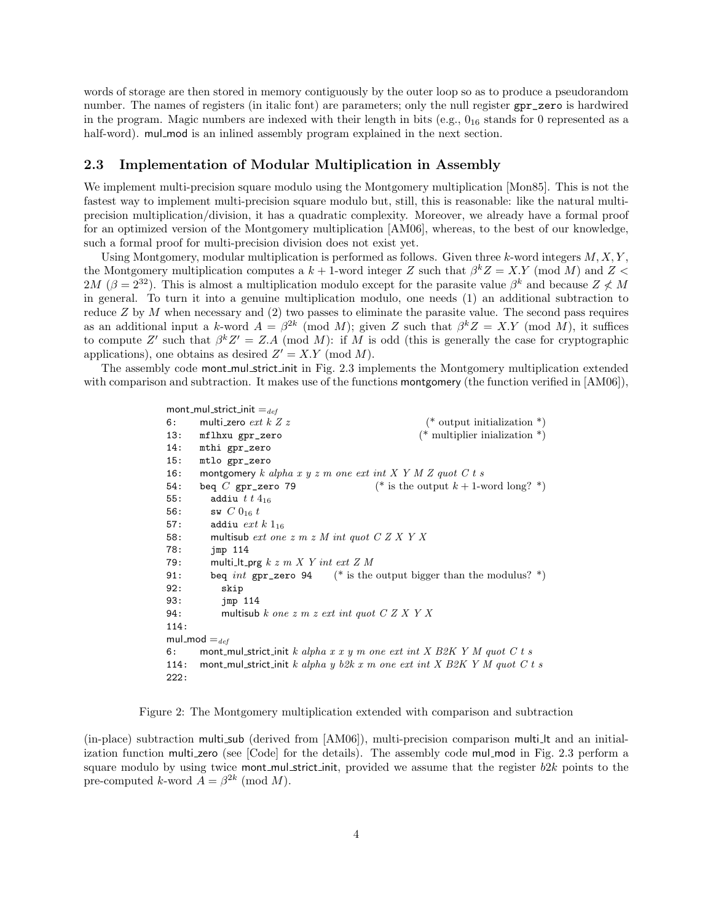words of storage are then stored in memory contiguously by the outer loop so as to produce a pseudorandom number. The names of registers (in italic font) are parameters; only the null register gpr\_zero is hardwired in the program. Magic numbers are indexed with their length in bits (e.g.,  $0_{16}$  stands for 0 represented as a half-word). mul\_mod is an inlined assembly program explained in the next section.

#### 2.3 Implementation of Modular Multiplication in Assembly

We implement multi-precision square modulo using the Montgomery multiplication [Mon85]. This is not the fastest way to implement multi-precision square modulo but, still, this is reasonable: like the natural multiprecision multiplication/division, it has a quadratic complexity. Moreover, we already have a formal proof for an optimized version of the Montgomery multiplication [AM06], whereas, to the best of our knowledge, such a formal proof for multi-precision division does not exist yet.

Using Montgomery, modular multiplication is performed as follows. Given three  $k$ -word integers  $M, X, Y$ . the Montgomery multiplication computes a  $k + 1$ -word integer Z such that  $\beta^k Z = X.Y$  (mod M) and Z < 2M ( $\beta = 2^{32}$ ). This is almost a multiplication modulo except for the parasite value  $\beta^k$  and because  $Z \nless M$ in general. To turn it into a genuine multiplication modulo, one needs (1) an additional subtraction to reduce  $Z$  by  $M$  when necessary and (2) two passes to eliminate the parasite value. The second pass requires as an additional input a k-word  $A = \beta^{2k} \pmod{M}$ ; given Z such that  $\beta^k Z = X.Y \pmod{M}$ , it suffices to compute Z' such that  $\beta^{k}Z' = Z.A \pmod{M}$ : if M is odd (this is generally the case for cryptographic applications), one obtains as desired  $Z' = X.Y \pmod{M}$ .

The assembly code mont\_mul\_strict\_init in Fig. 2.3 implements the Montgomery multiplication extended with comparison and subtraction. It makes use of the functions montgomery (the function verified in [AM06]),

```
mont_mul_strict_init =_{def}6: multi_zero ext k \, Z \, z (* output initialization *)
13: mflhxu gpr_zero (* multiplier inialization *)
14: mthi gpr_zero
15: mtlo gpr_zero
16: montgomery k alpha x y z m one ext int X Y M Z quot C t s
54: beq C gpr_zero 79 (* is the output k + 1-word long? *)
55: addiu t \; t \; 4_{16}56: sw C 0_{16} t57: addiu ext k 1<sub>16</sub>58: multisub ext one z m z M int quot C Z X Y X
78: jmp 114
79: multi_lt_prg k \, z \, m \, X \, Y int ext Z \, M91: beq int gpr_zero 94 (* is the output bigger than the modulus? *)
92: skip
93: jmp 114
94: multisub k one z m z ext int quot C Z X Y X114:
mul_mod =_{def}6: mont_mul_strict_init k alpha x \, x \, y m one ext int X B2K Y M quot C t s
114: mont_mul_strict_init k alpha y b2k x m one ext int X B2K Y M quot C t s
222:
```
Figure 2: The Montgomery multiplication extended with comparison and subtraction

(in-place) subtraction multi sub (derived from [AM06]), multi-precision comparison multi lt and an initialization function multi zero (see [Code] for the details). The assembly code mul mod in Fig. 2.3 perform a square modulo by using twice mont\_mul\_strict\_init, provided we assume that the register  $b2k$  points to the pre-computed k-word  $A = \beta^{2k} \pmod{M}$ .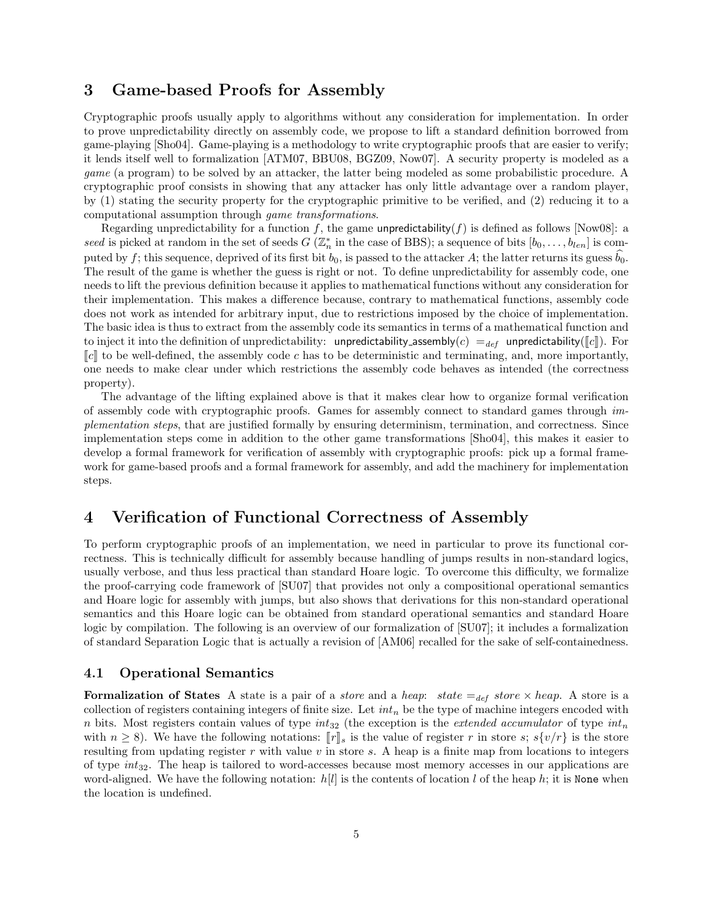### 3 Game-based Proofs for Assembly

Cryptographic proofs usually apply to algorithms without any consideration for implementation. In order to prove unpredictability directly on assembly code, we propose to lift a standard definition borrowed from game-playing [Sho04]. Game-playing is a methodology to write cryptographic proofs that are easier to verify; it lends itself well to formalization [ATM07, BBU08, BGZ09, Now07]. A security property is modeled as a game (a program) to be solved by an attacker, the latter being modeled as some probabilistic procedure. A cryptographic proof consists in showing that any attacker has only little advantage over a random player, by (1) stating the security property for the cryptographic primitive to be verified, and (2) reducing it to a computational assumption through game transformations.

Regarding unpredictability for a function f, the game unpredictability(f) is defined as follows [Now08]: a seed is picked at random in the set of seeds  $G\left(\mathbb{Z}_n^*\right)$  in the case of BBS); a sequence of bits  $[b_0,\ldots,b_{len}]$  is computed by f; this sequence, deprived of its first bit  $b_0$ , is passed to the attacker A; the latter returns its guess  $b_0$ . The result of the game is whether the guess is right or not. To define unpredictability for assembly code, one needs to lift the previous definition because it applies to mathematical functions without any consideration for their implementation. This makes a difference because, contrary to mathematical functions, assembly code does not work as intended for arbitrary input, due to restrictions imposed by the choice of implementation. The basic idea is thus to extract from the assembly code its semantics in terms of a mathematical function and to inject it into the definition of unpredictability: unpredictability assembly(c) =  $_{def}$  unpredictability([c]). For  $\llbracket c \rrbracket$  to be well-defined, the assembly code c has to be deterministic and terminating, and, more importantly, one needs to make clear under which restrictions the assembly code behaves as intended (the correctness property).

The advantage of the lifting explained above is that it makes clear how to organize formal verification of assembly code with cryptographic proofs. Games for assembly connect to standard games through implementation steps, that are justified formally by ensuring determinism, termination, and correctness. Since implementation steps come in addition to the other game transformations [Sho04], this makes it easier to develop a formal framework for verification of assembly with cryptographic proofs: pick up a formal framework for game-based proofs and a formal framework for assembly, and add the machinery for implementation steps.

## 4 Verification of Functional Correctness of Assembly

To perform cryptographic proofs of an implementation, we need in particular to prove its functional correctness. This is technically difficult for assembly because handling of jumps results in non-standard logics, usually verbose, and thus less practical than standard Hoare logic. To overcome this difficulty, we formalize the proof-carrying code framework of [SU07] that provides not only a compositional operational semantics and Hoare logic for assembly with jumps, but also shows that derivations for this non-standard operational semantics and this Hoare logic can be obtained from standard operational semantics and standard Hoare logic by compilation. The following is an overview of our formalization of [SU07]; it includes a formalization of standard Separation Logic that is actually a revision of [AM06] recalled for the sake of self-containedness.

#### 4.1 Operational Semantics

**Formalization of States** A state is a pair of a *store* and a *heap:* state  $=_{def} store \times heap$ . A store is a collection of registers containing integers of finite size. Let  $int_n$  be the type of machine integers encoded with n bits. Most registers contain values of type  $int_{32}$  (the exception is the *extended accumulator* of type  $int_n$ with  $n \geq 8$ ). We have the following notations:  $\llbracket r \rrbracket_s$  is the value of register r in store s;  $s\{v/r\}$  is the store resulting from updating register r with value v in store s. A heap is a finite map from locations to integers of type  $int_{32}$ . The heap is tailored to word-accesses because most memory accesses in our applications are word-aligned. We have the following notation:  $h[l]$  is the contents of location l of the heap h; it is None when the location is undefined.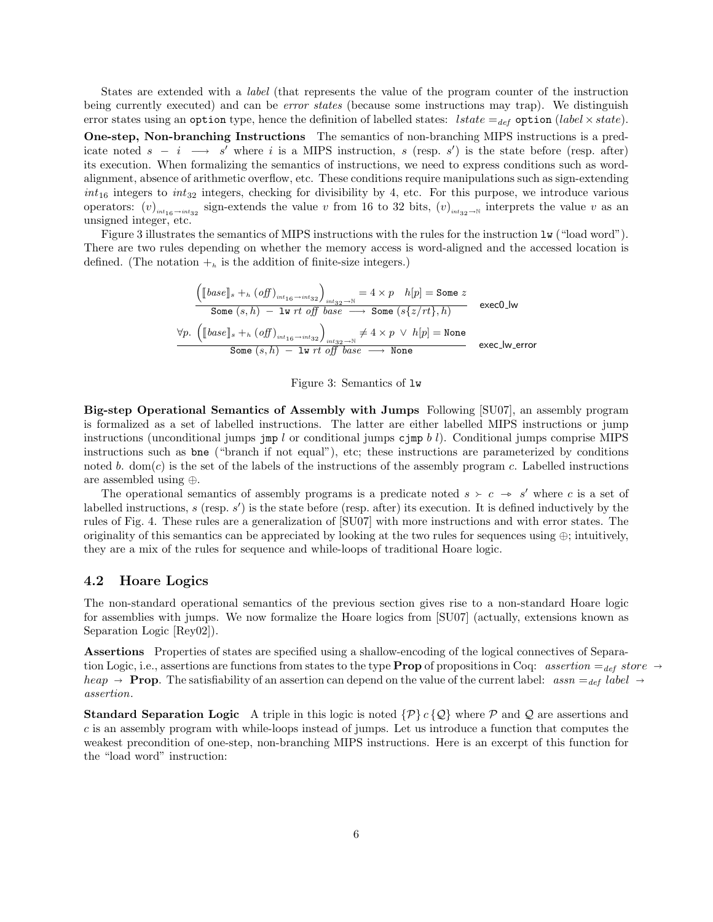States are extended with a label (that represents the value of the program counter of the instruction being currently executed) and can be error states (because some instructions may trap). We distinguish error states using an option type, hence the definition of labelled states: lstate =  $_{def}$  option (label  $\times$  state). One-step, Non-branching Instructions The semantics of non-branching MIPS instructions is a predicate noted  $s - i \rightarrow s'$  where i is a MIPS instruction, s (resp. s') is the state before (resp. after) its execution. When formalizing the semantics of instructions, we need to express conditions such as wordalignment, absence of arithmetic overflow, etc. These conditions require manipulations such as sign-extending  $int_{16}$  integers to  $int_{32}$  integers, checking for divisibility by 4, etc. For this purpose, we introduce various operators:  $(v)$ <sub>int16</sub>→int<sub>32</sub> sign-extends the value v from 16 to 32 bits,  $(v)$ <sub>int<sub>32→N</sub> interprets the value v as an</sub> unsigned integer, etc.

Figure 3 illustrates the semantics of MIPS instructions with the rules for the instruction lw ("load word"). There are two rules depending on whether the memory access is word-aligned and the accessed location is defined. (The notation  $+_{h}$  is the addition of finite-size integers.)

$$
\underbrace{\begin{pmatrix}\begin{bmatrix}\begin{bmatrix}base \end{bmatrix}_s +_h (off)_{int_{16} \to int_{32}} \end{bmatrix}_{int_{32} \to \mathbb{N}}}_{\text{Some } (s, h) - \text{lw } rt \text{ off } base} = 4 \times p & h[p] = \text{Some } z \end{pmatrix}}_{\text{Some } (s, h) - \text{lw } rt \text{ off } base} \xrightarrow{\text{Some } (s \{z/rt\}, h) \text{ exec0-lw}} \text{exec0-lw}
$$
\n
$$
\underbrace{\forall p. \begin{pmatrix}\begin{bmatrix}\begin{bmatrix}base \end{bmatrix}_s +_h (off)_{int_{16} \to int_{32}} \end{bmatrix}_{int_{32} \to \mathbb{N}}}_{\text{Some } (s, h) - \text{lw } rt \text{ off } base} \xrightarrow{\text{None}} \text{None}} \text{exec\_lw\_error}
$$

Figure 3: Semantics of lw

Big-step Operational Semantics of Assembly with Jumps Following [SU07], an assembly program is formalized as a set of labelled instructions. The latter are either labelled MIPS instructions or jump instructions (unconditional jumps  $\gamma$  and  $\gamma$  or conditional jumps cjmp b l). Conditional jumps comprise MIPS instructions such as bne ("branch if not equal"), etc; these instructions are parameterized by conditions noted b.  $dom(c)$  is the set of the labels of the instructions of the assembly program c. Labelled instructions are assembled using ⊕.

The operational semantics of assembly programs is a predicate noted  $s \geq c \rightarrow s'$  where c is a set of labelled instructions,  $s$  (resp.  $s'$ ) is the state before (resp. after) its execution. It is defined inductively by the rules of Fig. 4. These rules are a generalization of [SU07] with more instructions and with error states. The originality of this semantics can be appreciated by looking at the two rules for sequences using  $\oplus$ ; intuitively, they are a mix of the rules for sequence and while-loops of traditional Hoare logic.

#### 4.2 Hoare Logics

The non-standard operational semantics of the previous section gives rise to a non-standard Hoare logic for assemblies with jumps. We now formalize the Hoare logics from [SU07] (actually, extensions known as Separation Logic [Rey02]).

Assertions Properties of states are specified using a shallow-encoding of the logical connectives of Separation Logic, i.e., assertions are functions from states to the type **Prop** of propositions in Coq: assertion  $=_{def} store \rightarrow$ heap  $\rightarrow$  **Prop**. The satisfiability of an assertion can depend on the value of the current label: assn =  $_{def}$  label  $\rightarrow$ assertion.

**Standard Separation Logic** A triple in this logic is noted  $\{\mathcal{P}\}\{c\}\{\mathcal{Q}\}\}\$  where  $\mathcal{P}$  and  $\mathcal{Q}$  are assertions and  $c$  is an assembly program with while-loops instead of jumps. Let us introduce a function that computes the weakest precondition of one-step, non-branching MIPS instructions. Here is an excerpt of this function for the "load word" instruction: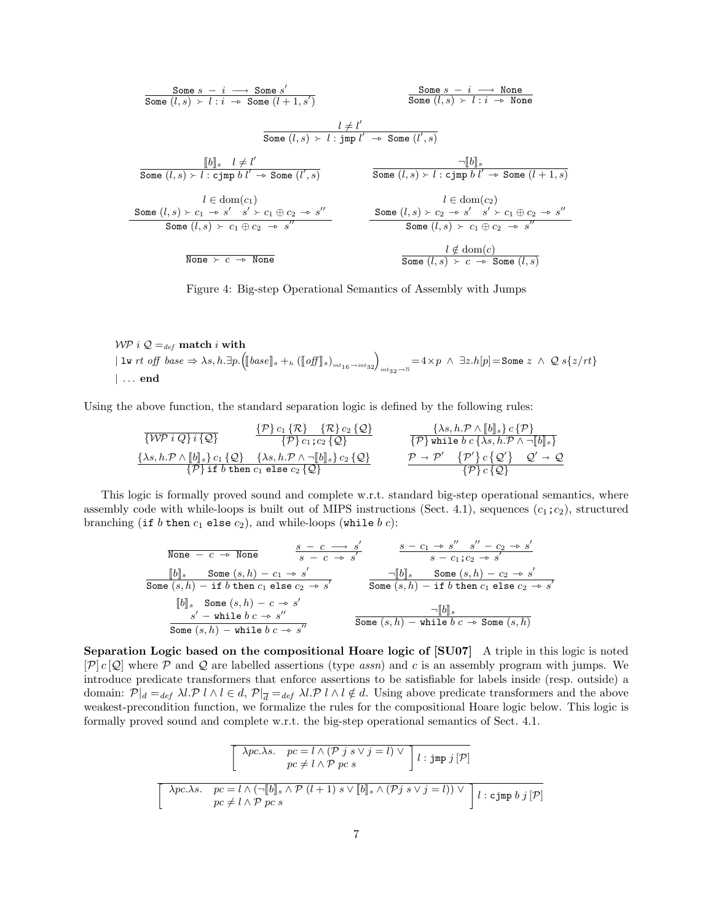| Some | $s - i \longrightarrow$ Some s'                                                             |                            |                                                                                             |                                                             |              |
|------|---------------------------------------------------------------------------------------------|----------------------------|---------------------------------------------------------------------------------------------|-------------------------------------------------------------|--------------|
| Some | $(l, s) \rightarrow l : i \rightarrow$ Some                                                 | $(l + 1, s')$              | Some                                                                                        |                                                             |              |
| Some | $(l, s) \rightarrow l : i \rightarrow$ None                                                 | $l \neq l'$                |                                                                                             |                                                             |              |
| Some | $(l, s) \rightarrow l : j \text{mp } l' \rightarrow$ Some                                   | $(l', s)$                  | $\neg [b]_s$                                                                                |                                                             |              |
| Some | $(l, s) \rightarrow l : \text{cjmp } b l' \rightarrow$ Some                                 | $(l', s)$                  | $\neg [b]_s$                                                                                |                                                             |              |
| Some | $(l, s) \rightarrow l : \text{cjmp } b l' \rightarrow$ Some                                 | $(l', s)$                  | Some                                                                                        | $(l, s) \rightarrow l : \text{cjmp } b l' \rightarrow$ Some | $(l + 1, s)$ |
| Some | $(l, s) \rightarrow c_1 \rightarrow s' \quad s' \rightarrow c_1 \oplus c_2 \rightarrow s''$ | Some                       | $(l, s) \rightarrow c_2 \rightarrow s' \quad s' \rightarrow c_1 \oplus c_2 \rightarrow s''$ |                                                             |              |
| Some | $(l, s) \rightarrow c_1 \oplus c_2 \rightarrow s''$                                         | Some                       | $(l, s) \rightarrow c_2 \rightarrow s' \quad s' \rightarrow c_1 \oplus c_2 \rightarrow s''$ |                                                             |              |
| None | $\downarrow \notin$ dom(c)                                                                  | $\downarrow \notin$ dom(c) |                                                                                             |                                                             |              |
| None | $\downarrow \notin$ dom(c)                                                                  | Some                       | $\downarrow \notin$ dom(c)                                                                  |                                                             |              |

Figure 4: Big-step Operational Semantics of Assembly with Jumps

WP  $i \mathcal{Q} =_{def}$  match i with  $|\texttt{lw }rt \textit{ off } base \Rightarrow \lambda s, h. \exists p. \left( [\![base]\!]_s +_h ( [\![of]\!]_s)_{\textit{int}_{16}\to \textit{int}_{32}\to \mathbb{N}} = 4\times p \;\wedge\;\exists z. h[p] = \texttt{Some } z \;\wedge\; \mathcal{Q}\; s\{z/rt\}$ | . . . end

Using the above function, the standard separation logic is defined by the following rules:

$$
\frac{\{\mathcal{P}\}c_1\{\mathcal{R}\}c_2\{\mathcal{Q}\}}{\{\mathcal{W}\}i\{\mathcal{Q}\}i\{\mathcal{Q}\}}\n\frac{\{\mathcal{P}\}c_1\{\mathcal{R}\}c_2\{\mathcal{Q}\}}{\{\mathcal{P}\}c_1;c_2\{\mathcal{Q}\}}\n\frac{\{\lambda s,h.\mathcal{P}\wedge[\![b]\!]_s\}c\{\mathcal{P}\}}{\{\mathcal{P}\} \text{ while } b\ c\{\lambda s,h.\mathcal{P}\wedge\neg[\![b]\!]_s\}}\n\frac{\{\lambda s,h.\mathcal{P}\wedge[\![b]\!]_s\}c_1\{\mathcal{Q}\}}{\{\mathcal{P}\} \text{ if } b \text{ then } c_1 \text{ else } c_2\{\mathcal{Q}\}}\n\frac{\{\lambda s,h.\mathcal{P}\wedge[\![b]\!]_s\}c_2\{\mathcal{Q}\}}{\{\mathcal{P}\}c\{\mathcal{Q}\}}\n\frac{\{\lambda s,h.\mathcal{P}\wedge[\![b]\!]_s\}c_2\{\mathcal{Q}\}}{\{\mathcal{P}\}c\{\mathcal{Q}\}}\n\frac{\{\lambda s,h.\mathcal{P}\wedge[\![b]\!]_s\}c_3\{\mathcal{Q}\}}{\{\mathcal{P}\}c\{\mathcal{Q}\}}
$$

This logic is formally proved sound and complete w.r.t. standard big-step operational semantics, where assembly code with while-loops is built out of MIPS instructions (Sect. 4.1), sequences  $(c_1;c_2)$ , structured branching (if b then  $c_1$  else  $c_2$ ), and while-loops (while b c):

$$
\begin{array}{lllllllll} \text{None} & \multicolumn{3}{l}{{\text{None}}} & \multicolumn{3}{l}{\text{Some}} & \multicolumn{3}{l}{\text{Some}} & \multicolumn{3}{l}{\text{Some}} & \multicolumn{3}{l}{\text{Some}} & \multicolumn{3}{l}{\text{Some}} & \multicolumn{3}{l}{\text{Some}} & \multicolumn{3}{l}{\text{Some}} & \multicolumn{3}{l}{\text{Some}} & \multicolumn{3}{l}{\text{Some}} & \multicolumn{3}{l}{\text{Some}} & \multicolumn{3}{l}{\text{Some}} & \multicolumn{3}{l}{\text{Some}} & \multicolumn{3}{l}{\text{Some}} & \multicolumn{3}{l}{\text{Some}} & \multicolumn{3}{l}{\text{Some}} & \multicolumn{3}{l}{\text{Some}} & \multicolumn{3}{l}{\text{Some}} & \multicolumn{3}{l}{\text{Some}} & \multicolumn{3}{l}{\text{Some}} & \multicolumn{3}{l}{\text{Some}} & \multicolumn{3}{l}{\text{Some}} & \multicolumn{3}{l}{\text{Some}} & \multicolumn{3}{l}{\text{Some}} & \multicolumn{3}{l}{\text{Some}} & \multicolumn{3}{l}{\text{Some}} & \multicolumn{3}{l}{\text{Some}} & \multicolumn{3}{l}{\text{Some}} & \multicolumn{3}{l}{\text{Some}} & \multicolumn{3}{l}{\text{Some}} & \multicolumn{3}{l}{\text{Some}} & \multicolumn{3}{l}{\text{Some}} & \multicolumn{3}{l}{\text{Some}} & \multicolumn{3}{l}{\text{Some}} & \multicolumn{3}{l}{\text{Some}} & \multicolumn{3}{l}{\text{Some}} & \multicolumn{3}{l}{\text{Some}} & \multicolumn{3}{l}{\text{Some}} & \multicolumn{3}{l}{\text{Some}} & \multicolumn{3}{l}{\text{Some}} & \multicolumn{3}{l}{\text{Some}} & \multicolumn{3}{l}{\text{Some}} & \multicolumn{3}{l}{\text{Some}} & \multicolumn{3}{l}{\text{Some}} & \multicolumn{3}{l}{\text{Some}} & \multicolumn{3}{l}{\text{Some}} & \multicolumn{3}{l}{\text{Some}} & \multicolumn{3}{l}{\text{Some}} & \multicolumn{3}{l}{\text{Some}} & \multicolumn{3}{
$$

Separation Logic based on the compositional Hoare logic of [SU07] A triple in this logic is noted  $[\mathcal{P}] c [\mathcal{Q}]$  where  $\mathcal P$  and  $\mathcal Q$  are labelled assertions (type *assn*) and c is an assembly program with jumps. We introduce predicate transformers that enforce assertions to be satisfiable for labels inside (resp. outside) a domain:  $\mathcal{P}|_d =_{def} \lambda l \cdot \mathcal{P} l \wedge l \in d$ ,  $\mathcal{P}|_{\overline{d}} =_{def} \lambda l \cdot \mathcal{P} l \wedge l \notin d$ . Using above predicate transformers and the above weakest-precondition function, we formalize the rules for the compositional Hoare logic below. This logic is formally proved sound and complete w.r.t. the big-step operational semantics of Sect. 4.1.

$$
\begin{bmatrix}\n\lambda pc.\lambda s. & pc = l \wedge (\mathcal{P} j s \vee j = l) \vee \\
pc \neq l \wedge \mathcal{P} pc s\n\end{bmatrix} l : \text{Jmp } j [\mathcal{P}]
$$
\n
$$
\begin{bmatrix}\n\lambda pc.\lambda s. & pc = l \wedge (\neg [\![b]\!]_s \wedge \mathcal{P} (l+1) s \vee [\![b]\!]_s \wedge (\mathcal{P} j s \vee j = l)) \vee \\
pc \neq l \wedge \mathcal{P} pc s\n\end{bmatrix} l : \text{c-jmp } b j [\mathcal{P}]
$$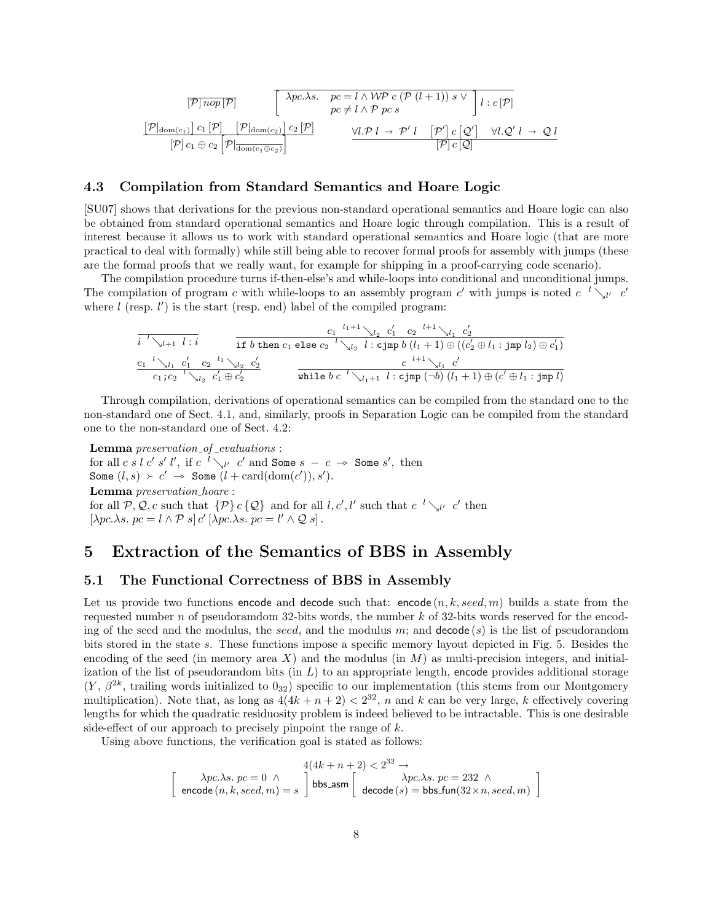$$
\begin{array}{ccc}\n[\mathcal{P}] \; nop[\mathcal{P}] & \left[ \begin{array}{c} \lambda pc.\lambda s. & pc = l \wedge \mathcal{W} \mathcal{P} \; c \; (\mathcal{P} \; (l+1)) \; s \vee \\ pc \neq l \wedge \mathcal{P} \; pc \; s \end{array} \right] l : c[\mathcal{P}] \\
[\mathcal{P}] \; \text{dom}(c_1) & c_1 \; [\mathcal{P}] & \left[ \mathcal{P} | \text{dom}(c_2) \right] c_2 \; [\mathcal{P}] & & \left[ \mathcal{V}, \mathcal{P} \; l \to \mathcal{P}' \; l \right] & \left[ \mathcal{P}' \right] c \; [\mathcal{Q}'] & \forall l \, \mathcal{Q}' \; l \to \mathcal{Q} \; l \\
[\mathcal{P}] \; c_1 \oplus c_2 & \left[ \mathcal{P} | \text{dom}(c_1 \oplus c_2) \right] & & \left[ \mathcal{P} \right] c \; [\mathcal{Q}] & & \left[ \mathcal{P} \right] c[\mathcal{Q}] & & \left[ \mathcal{P} \right] \end{array} \right]\n\end{array}
$$

#### 4.3 Compilation from Standard Semantics and Hoare Logic

[SU07] shows that derivations for the previous non-standard operational semantics and Hoare logic can also be obtained from standard operational semantics and Hoare logic through compilation. This is a result of interest because it allows us to work with standard operational semantics and Hoare logic (that are more practical to deal with formally) while still being able to recover formal proofs for assembly with jumps (these are the formal proofs that we really want, for example for shipping in a proof-carrying code scenario).

The compilation procedure turns if-then-else's and while-loops into conditional and unconditional jumps. The compilation of program c with while-loops to an assembly program c' with jumps is noted c  $\ell \searrow_{\ell'} c'$ where  $l$  (resp.  $l'$ ) is the start (resp. end) label of the compiled program:

i <sup>l</sup>&l+1 l : i c1 <sup>l</sup>1+1&<sup>l</sup><sup>2</sup> c 0 <sup>1</sup> c<sup>2</sup> <sup>l</sup>+1&<sup>l</sup><sup>1</sup> c 0 2 if b then c<sup>1</sup> else c<sup>2</sup> <sup>l</sup>&<sup>l</sup><sup>2</sup> l : cjmp b (l<sup>1</sup> + 1) ⊕ ((c 0 <sup>2</sup> ⊕ l<sup>1</sup> : jmp l2) ⊕ c 0 1) c1 <sup>l</sup>&<sup>l</sup><sup>1</sup> c 0 <sup>1</sup> c<sup>2</sup> <sup>l</sup><sup>1</sup> &<sup>l</sup><sup>2</sup> c 0 2 c1;c<sup>2</sup> <sup>l</sup>&<sup>l</sup><sup>2</sup> c 0 <sup>1</sup> ⊕ c 0 2 c <sup>l</sup>+1&<sup>l</sup><sup>1</sup> c 0 while b c <sup>l</sup>&<sup>l</sup>1+1 l : cjmp (¬b) (l<sup>1</sup> + 1) ⊕ (c <sup>0</sup> ⊕ l<sup>1</sup> : jmp l)

Through compilation, derivations of operational semantics can be compiled from the standard one to the non-standard one of Sect. 4.1, and, similarly, proofs in Separation Logic can be compiled from the standard one to the non-standard one of Sect. 4.2:

Lemma preservation\_of\_evaluations : for all c s l c' s' l', if c  $\frac{l}{\lambda}$  c' and Some  $s - c \rightarrow$  Some s', then Some  $(l, s) \succ c' \rightarrow$  Some  $(l + \text{card}(\text{dom}(c')), s')$ . Lemma preservation hoare : for all  $P, Q, c$  such that  $\{P\} c \{Q\}$  and for all  $l, c', l'$  such that  $c^{-l} \searrow_{l'} c'$  then  $[\lambda pc.\lambda s. pc = l \wedge P s] c' [\lambda pc.\lambda s. pc = l' \wedge Q s].$ 

# 5 Extraction of the Semantics of BBS in Assembly

#### 5.1 The Functional Correctness of BBS in Assembly

Let us provide two functions encode and decode such that: encode  $(n, k, seed, m)$  builds a state from the requested number n of pseudoramdom 32-bits words, the number  $k$  of 32-bits words reserved for the encoding of the seed and the modulus, the seed, and the modulus m; and decode (s) is the list of pseudorandom bits stored in the state s. These functions impose a specific memory layout depicted in Fig. 5. Besides the encoding of the seed (in memory area X) and the modulus (in  $M$ ) as multi-precision integers, and initialization of the list of pseudorandom bits (in  $L$ ) to an appropriate length, encode provides additional storage  $(Y, \beta^{2k}, \text{training words initialized to } 0_{32})$  specific to our implementation (this stems from our Montgomery multiplication). Note that, as long as  $4(4k+n+2) < 2^{32}$ , n and k can be very large, k effectively covering lengths for which the quadratic residuosity problem is indeed believed to be intractable. This is one desirable side-effect of our approach to precisely pinpoint the range of  $k$ .

Using above functions, the verification goal is stated as follows:

$$
\left[\begin{array}{c} \lambda pc.\lambda s.\ pc = 0 \;\wedge\; \\ \text{encode}\left(n, k, seed, m\right) = s \end{array}\right] \begin{array}{c} 4(4k+n+2) < 2^{32} \rightarrow \\ \text{bbs-asm} \\ \text{decode}\left(s\right) = \text{bbs.tun}(32 \times n, seed, m) \end{array}\right]
$$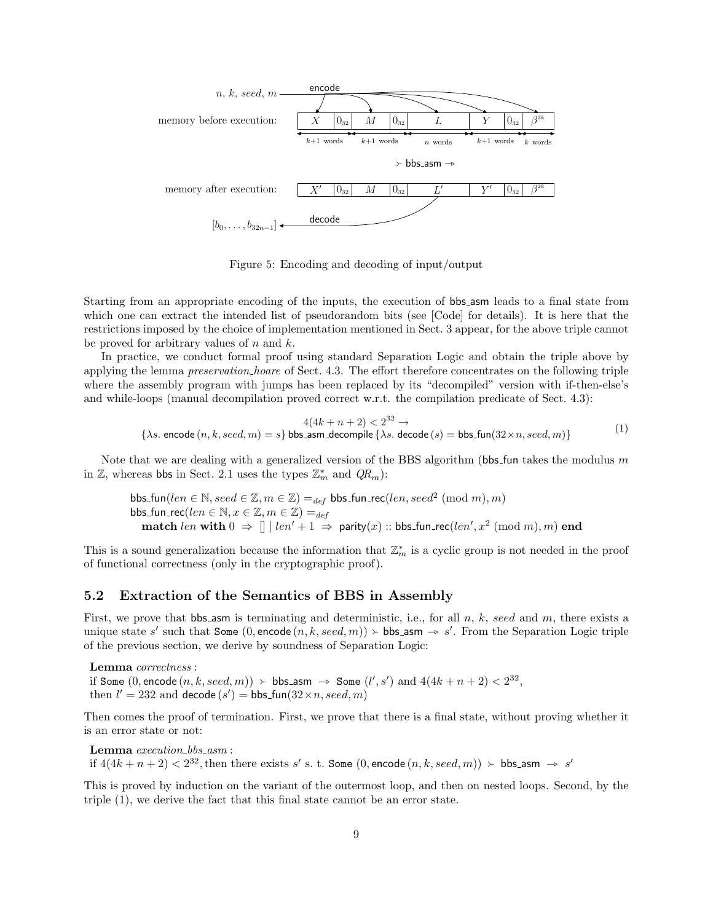

Figure 5: Encoding and decoding of input/output

Starting from an appropriate encoding of the inputs, the execution of bbs asm leads to a final state from which one can extract the intended list of pseudorandom bits (see [Code] for details). It is here that the restrictions imposed by the choice of implementation mentioned in Sect. 3 appear, for the above triple cannot be proved for arbitrary values of  $n$  and  $k$ .

In practice, we conduct formal proof using standard Separation Logic and obtain the triple above by applying the lemma preservation hoare of Sect. 4.3. The effort therefore concentrates on the following triple where the assembly program with jumps has been replaced by its "decompiled" version with if-then-else's and while-loops (manual decompilation proved correct w.r.t. the compilation predicate of Sect. 4.3):

$$
4(4k + n + 2) < 2^{32} \rightarrow
$$
\n
$$
\{\lambda s. \text{ encode } (n, k, seed, m) = s\} \text{ bbs\_asm-decompile } \{\lambda s. \text{ decode } (s) = \text{bbs\_fun}(32 \times n, seed, m)\}\
$$
\n
$$
(1)
$$

Note that we are dealing with a generalized version of the BBS algorithm (bbs fun takes the modulus  $m$ in  $\mathbb{Z}$ , whereas bbs in Sect. 2.1 uses the types  $\mathbb{Z}_m^*$  and  $QR_m$ ):

bbs\_fun(len  $\in \mathbb{N}$ , seed  $\in \mathbb{Z}$ ,  $m \in \mathbb{Z}$ ) =  $_{def}$  bbs\_fun\_rec(len, seed<sup>2</sup> (mod m), m) bbs\_fun\_rec( $len \in \mathbb{N}, x \in \mathbb{Z}, m \in \mathbb{Z}$ ) =  $_{def}$ match  $len$  with  $0 \Rightarrow || \text{ } len' + 1 \Rightarrow$  parity $(x) :: \text{bbs-fun\_rec}(len', x^2 \pmod{m}, m)$  end

This is a sound generalization because the information that  $\mathbb{Z}_m^*$  is a cyclic group is not needed in the proof of functional correctness (only in the cryptographic proof).

#### 5.2 Extraction of the Semantics of BBS in Assembly

First, we prove that bbs asm is terminating and deterministic, i.e., for all  $n$ ,  $k$ , seed and  $m$ , there exists a unique state s' such that **Some**  $(0, \text{encode}(n, k, seed, m)) \succ \text{bbs-asm} \rightarrow s'$ . From the Separation Logic triple of the provious section, we derive by soundness of **Separation** Logic. of the previous section, we derive by soundness of Separation Logic:

Lemma correctness : if Some  $(0, \text{encode } (n, k, seed, m)) \succ \text{bbs-asm} \rightarrow \text{Some } (l', s') \text{ and } 4(4k + n + 2) < 2^{32}$ ,<br>then  $l' = 232$  and decode  $(s') = \text{bbs func}(33 \times n, seed, m)$ . then  $l' = 232$  and decode  $(s') = \text{bbs-fun}(32 \times n, \text{seed}, m)$ 

Then comes the proof of termination. First, we prove that there is a final state, without proving whether it is an error state or not:

Lemma execution\_bbs\_asm : if  $4(4k+n+2) < 2^{32}$ , then there exists s' s. t. Some  $(0, \text{encode}(n, k, seed, m)) \succ \text{bbs-asm} \rightarrow s'$ 

This is proved by induction on the variant of the outermost loop, and then on nested loops. Second, by the triple (1), we derive the fact that this final state cannot be an error state.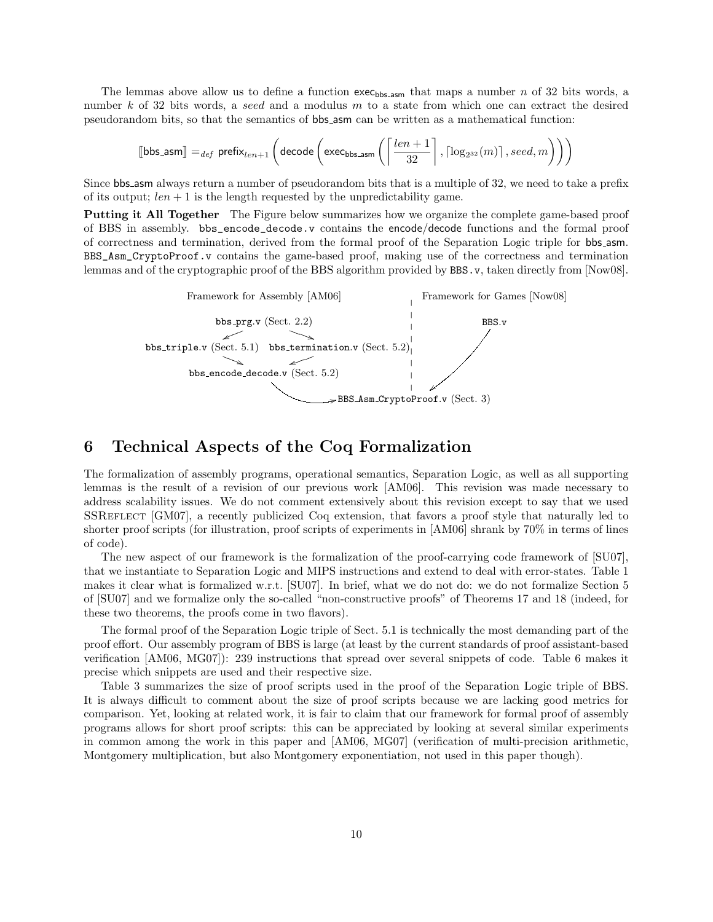The lemmas above allow us to define a function  $exc_{bbs,asm}$  that maps a number n of 32 bits words, a number k of 32 bits words, a seed and a modulus  $m$  to a state from which one can extract the desired pseudorandom bits, so that the semantics of bbs asm can be written as a mathematical function:

$$
\llbracket \text{bbs-asm} \rrbracket =_{def} \text{prefix}_{len+1}\left(\text{decode}\left(\text{exec}_{\text{bbs-asm}}\left(\left\lceil\frac{len+1}{32}\right\rceil, \lceil \log_{2^{32}}(m) \rceil, seed, m\right)\right)\right)
$$

Since bbs asm always return a number of pseudorandom bits that is a multiple of 32, we need to take a prefix of its output;  $len + 1$  is the length requested by the unpredictability game.

Putting it All Together The Figure below summarizes how we organize the complete game-based proof of BBS in assembly. bbs\_encode\_decode.v contains the encode/decode functions and the formal proof of correctness and termination, derived from the formal proof of the Separation Logic triple for bbs asm. BBS\_Asm\_CryptoProof.v contains the game-based proof, making use of the correctness and termination lemmas and of the cryptographic proof of the BBS algorithm provided by BBS. v, taken directly from [Now08].



## 6 Technical Aspects of the Coq Formalization

The formalization of assembly programs, operational semantics, Separation Logic, as well as all supporting lemmas is the result of a revision of our previous work [AM06]. This revision was made necessary to address scalability issues. We do not comment extensively about this revision except to say that we used SSREFLECT [GM07], a recently publicized Coq extension, that favors a proof style that naturally led to shorter proof scripts (for illustration, proof scripts of experiments in [AM06] shrank by 70% in terms of lines of code).

The new aspect of our framework is the formalization of the proof-carrying code framework of [SU07], that we instantiate to Separation Logic and MIPS instructions and extend to deal with error-states. Table 1 makes it clear what is formalized w.r.t. [SU07]. In brief, what we do not do: we do not formalize Section 5 of [SU07] and we formalize only the so-called "non-constructive proofs" of Theorems 17 and 18 (indeed, for these two theorems, the proofs come in two flavors).

The formal proof of the Separation Logic triple of Sect. 5.1 is technically the most demanding part of the proof effort. Our assembly program of BBS is large (at least by the current standards of proof assistant-based verification [AM06, MG07]): 239 instructions that spread over several snippets of code. Table 6 makes it precise which snippets are used and their respective size.

Table 3 summarizes the size of proof scripts used in the proof of the Separation Logic triple of BBS. It is always difficult to comment about the size of proof scripts because we are lacking good metrics for comparison. Yet, looking at related work, it is fair to claim that our framework for formal proof of assembly programs allows for short proof scripts: this can be appreciated by looking at several similar experiments in common among the work in this paper and [AM06, MG07] (verification of multi-precision arithmetic, Montgomery multiplication, but also Montgomery exponentiation, not used in this paper though).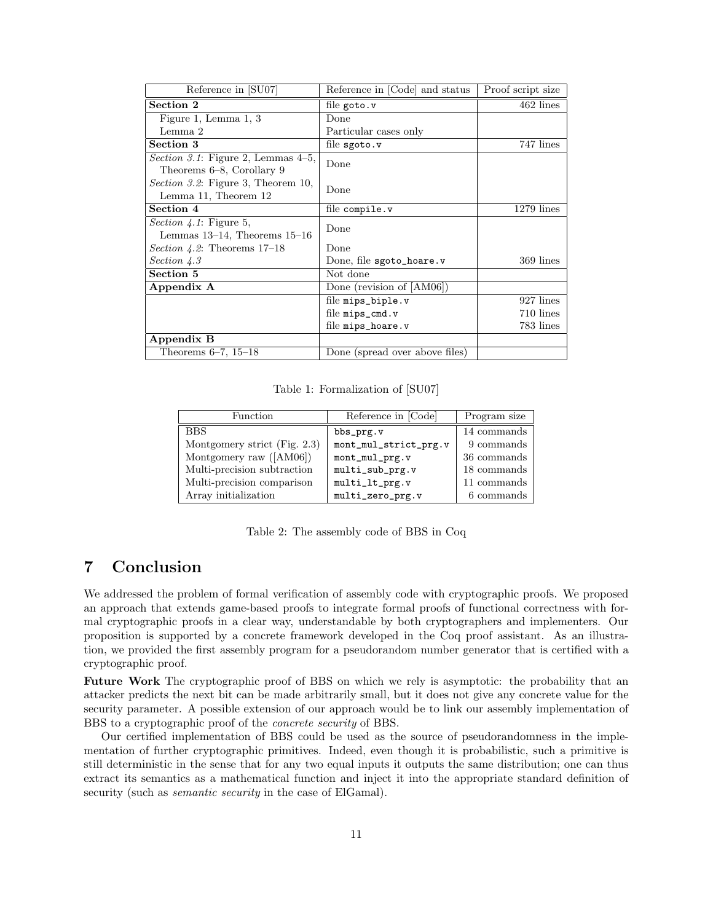| Reference in [SU07]                                                        | Reference in [Code] and status | Proof script size |
|----------------------------------------------------------------------------|--------------------------------|-------------------|
| Section 2                                                                  | file goto.v                    | $462$ lines       |
| Figure 1, Lemma 1, 3                                                       | Done                           |                   |
| Lemma 2                                                                    | Particular cases only          |                   |
| Section 3                                                                  | file $s$ goto. $v$             | 747 lines         |
| <i>Section 3.1</i> : Figure 2, Lemmas $4-5$ ,<br>Theorems 6–8, Corollary 9 | Done                           |                   |
| <i>Section 3.2</i> : Figure 3, Theorem 10,<br>Lemma 11, Theorem 12         | Done                           |                   |
| Section 4                                                                  | file compile.v                 | $1279$ lines      |
| <i>Section 4.1</i> : Figure 5,                                             | Done                           |                   |
| Lemmas $13-14$ , Theorems $15-16$                                          |                                |                   |
| <i>Section 4.2</i> : Theorems $17-18$                                      | Done                           |                   |
| Section 4.3                                                                | Done, file sgoto_hoare.v       | 369 lines         |
| Section 5                                                                  | Not done                       |                   |
| Appendix A                                                                 | Done (revision of $[AM06]$ )   |                   |
|                                                                            | file mips_biple.v              | 927 lines         |
|                                                                            | file $mips\_cmd.v$             | 710 lines         |
|                                                                            | file mips_hoare.v              | 783 lines         |
| Appendix B                                                                 |                                |                   |
| Theorems $6-7$ , $15-18$                                                   | Done (spread over above files) |                   |

Table 1: Formalization of [SU07]

| Function                     | Reference in [Code]   | Program size |
|------------------------------|-----------------------|--------------|
| <b>BBS</b>                   | bbs_prg.v             | 14 commands  |
| Montgomery strict (Fig. 2.3) | mont_mul_strict_prg.v | 9 commands   |
| Montgomery raw $([AM06])$    | mont_mul_prg.v        | 36 commands  |
| Multi-precision subtraction  | multi_sub_prg.v       | 18 commands  |
| Multi-precision comparison   | multi_lt_prg.v        | 11 commands  |
| Array initialization         | multi_zero_prg.v      | 6 commands   |

Table 2: The assembly code of BBS in Coq

## 7 Conclusion

We addressed the problem of formal verification of assembly code with cryptographic proofs. We proposed an approach that extends game-based proofs to integrate formal proofs of functional correctness with formal cryptographic proofs in a clear way, understandable by both cryptographers and implementers. Our proposition is supported by a concrete framework developed in the Coq proof assistant. As an illustration, we provided the first assembly program for a pseudorandom number generator that is certified with a cryptographic proof.

Future Work The cryptographic proof of BBS on which we rely is asymptotic: the probability that an attacker predicts the next bit can be made arbitrarily small, but it does not give any concrete value for the security parameter. A possible extension of our approach would be to link our assembly implementation of BBS to a cryptographic proof of the concrete security of BBS.

Our certified implementation of BBS could be used as the source of pseudorandomness in the implementation of further cryptographic primitives. Indeed, even though it is probabilistic, such a primitive is still deterministic in the sense that for any two equal inputs it outputs the same distribution; one can thus extract its semantics as a mathematical function and inject it into the appropriate standard definition of security (such as *semantic security* in the case of ElGamal).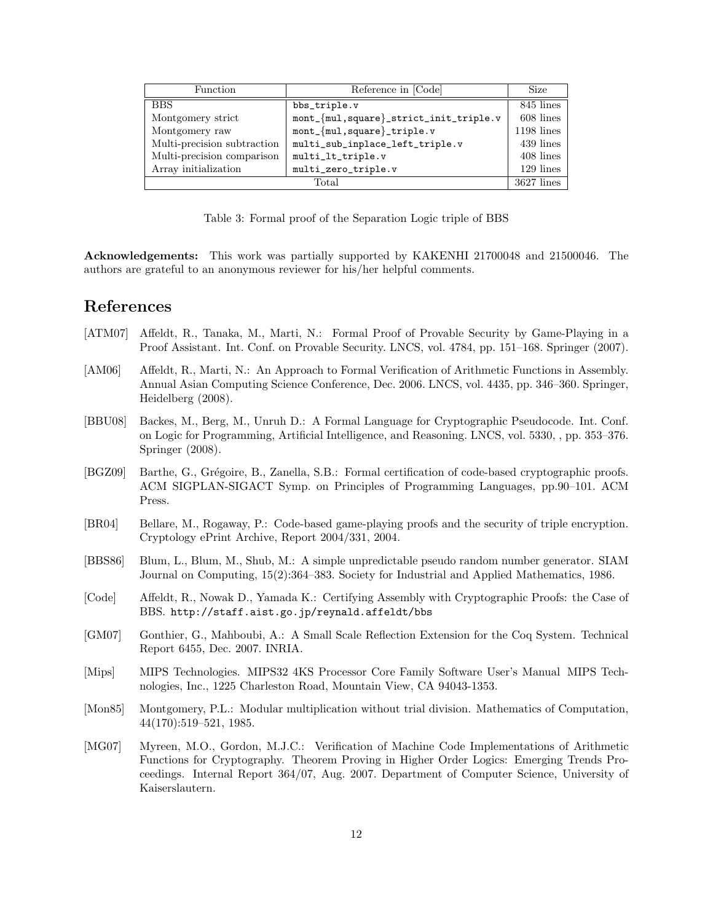| Function                    | Reference in [Code]                         | <b>Size</b>  |
|-----------------------------|---------------------------------------------|--------------|
| <b>BBS</b>                  | bbs_triple.v                                | 845 lines    |
| Montgomery strict           | mont_{mul, square}_strict_init_triple.v     | 608 lines    |
| Montgomery raw              | $mont_{\text{mul}}, square \text{triple}.v$ | $1198$ lines |
| Multi-precision subtraction | multi_sub_inplace_left_triple.v             | 439 lines    |
| Multi-precision comparison  | multi_lt_triple.v                           | 408 lines    |
| Array initialization        | multi_zero_triple.v                         | 129 lines    |
| Total                       |                                             |              |

Table 3: Formal proof of the Separation Logic triple of BBS

Acknowledgements: This work was partially supported by KAKENHI 21700048 and 21500046. The authors are grateful to an anonymous reviewer for his/her helpful comments.

## References

- [ATM07] Affeldt, R., Tanaka, M., Marti, N.: Formal Proof of Provable Security by Game-Playing in a Proof Assistant. Int. Conf. on Provable Security. LNCS, vol. 4784, pp. 151–168. Springer (2007).
- [AM06] Affeldt, R., Marti, N.: An Approach to Formal Verification of Arithmetic Functions in Assembly. Annual Asian Computing Science Conference, Dec. 2006. LNCS, vol. 4435, pp. 346–360. Springer, Heidelberg (2008).
- [BBU08] Backes, M., Berg, M., Unruh D.: A Formal Language for Cryptographic Pseudocode. Int. Conf. on Logic for Programming, Artificial Intelligence, and Reasoning. LNCS, vol. 5330, , pp. 353–376. Springer (2008).
- [BGZ09] Barthe, G., Grégoire, B., Zanella, S.B.: Formal certification of code-based cryptographic proofs. ACM SIGPLAN-SIGACT Symp. on Principles of Programming Languages, pp.90–101. ACM Press.
- [BR04] Bellare, M., Rogaway, P.: Code-based game-playing proofs and the security of triple encryption. Cryptology ePrint Archive, Report 2004/331, 2004.
- [BBS86] Blum, L., Blum, M., Shub, M.: A simple unpredictable pseudo random number generator. SIAM Journal on Computing, 15(2):364–383. Society for Industrial and Applied Mathematics, 1986.
- [Code] Affeldt, R., Nowak D., Yamada K.: Certifying Assembly with Cryptographic Proofs: the Case of BBS. http://staff.aist.go.jp/reynald.affeldt/bbs
- [GM07] Gonthier, G., Mahboubi, A.: A Small Scale Reflection Extension for the Coq System. Technical Report 6455, Dec. 2007. INRIA.
- [Mips] MIPS Technologies. MIPS32 4KS Processor Core Family Software User's Manual MIPS Technologies, Inc., 1225 Charleston Road, Mountain View, CA 94043-1353.
- [Mon85] Montgomery, P.L.: Modular multiplication without trial division. Mathematics of Computation, 44(170):519–521, 1985.
- [MG07] Myreen, M.O., Gordon, M.J.C.: Verification of Machine Code Implementations of Arithmetic Functions for Cryptography. Theorem Proving in Higher Order Logics: Emerging Trends Proceedings. Internal Report 364/07, Aug. 2007. Department of Computer Science, University of Kaiserslautern.